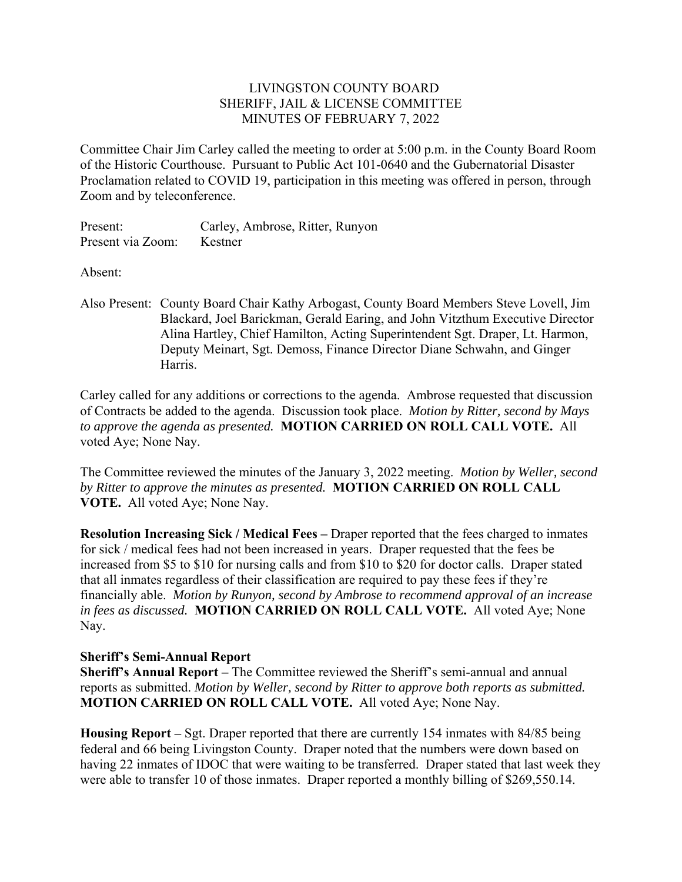## LIVINGSTON COUNTY BOARD SHERIFF, JAIL & LICENSE COMMITTEE MINUTES OF FEBRUARY 7, 2022

Committee Chair Jim Carley called the meeting to order at 5:00 p.m. in the County Board Room of the Historic Courthouse. Pursuant to Public Act 101-0640 and the Gubernatorial Disaster Proclamation related to COVID 19, participation in this meeting was offered in person, through Zoom and by teleconference.

Present: Carley, Ambrose, Ritter, Runyon Present via Zoom: Kestner

Absent:

Also Present: County Board Chair Kathy Arbogast, County Board Members Steve Lovell, Jim Blackard, Joel Barickman, Gerald Earing, and John Vitzthum Executive Director Alina Hartley, Chief Hamilton, Acting Superintendent Sgt. Draper, Lt. Harmon, Deputy Meinart, Sgt. Demoss, Finance Director Diane Schwahn, and Ginger Harris.

Carley called for any additions or corrections to the agenda. Ambrose requested that discussion of Contracts be added to the agenda. Discussion took place. *Motion by Ritter, second by Mays to approve the agenda as presented.* **MOTION CARRIED ON ROLL CALL VOTE.** All voted Aye; None Nay.

The Committee reviewed the minutes of the January 3, 2022 meeting. *Motion by Weller, second by Ritter to approve the minutes as presented.* **MOTION CARRIED ON ROLL CALL VOTE.** All voted Aye; None Nay.

**Resolution Increasing Sick / Medical Fees –** Draper reported that the fees charged to inmates for sick / medical fees had not been increased in years. Draper requested that the fees be increased from \$5 to \$10 for nursing calls and from \$10 to \$20 for doctor calls. Draper stated that all inmates regardless of their classification are required to pay these fees if they're financially able. *Motion by Runyon, second by Ambrose to recommend approval of an increase in fees as discussed.* **MOTION CARRIED ON ROLL CALL VOTE.** All voted Aye; None Nay.

## **Sheriff's Semi-Annual Report**

**Sheriff's Annual Report –** The Committee reviewed the Sheriff's semi-annual and annual reports as submitted. *Motion by Weller, second by Ritter to approve both reports as submitted.*  **MOTION CARRIED ON ROLL CALL VOTE.** All voted Aye; None Nay.

**Housing Report –** Sgt. Draper reported that there are currently 154 inmates with 84/85 being federal and 66 being Livingston County. Draper noted that the numbers were down based on having 22 inmates of IDOC that were waiting to be transferred. Draper stated that last week they were able to transfer 10 of those inmates. Draper reported a monthly billing of \$269,550.14.